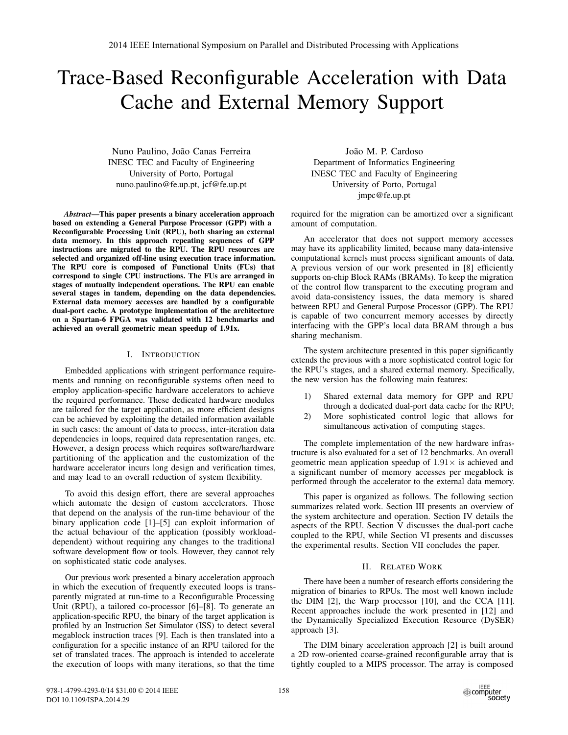# Trace-Based Reconfigurable Acceleration with Data Cache and External Memory Support

Nuno Paulino, João Canas Ferreira INESC TEC and Faculty of Engineering University of Porto, Portugal nuno.paulino@fe.up.pt, jcf@fe.up.pt

*Abstract*—This paper presents a binary acceleration approach based on extending a General Purpose Processor (GPP) with a Reconfigurable Processing Unit (RPU), both sharing an external data memory. In this approach repeating sequences of GPP instructions are migrated to the RPU. The RPU resources are selected and organized off-line using execution trace information. The RPU core is composed of Functional Units (FUs) that correspond to single CPU instructions. The FUs are arranged in stages of mutually independent operations. The RPU can enable several stages in tandem, depending on the data dependencies. External data memory accesses are handled by a configurable dual-port cache. A prototype implementation of the architecture on a Spartan-6 FPGA was validated with 12 benchmarks and achieved an overall geometric mean speedup of 1.91x.

#### I. INTRODUCTION

Embedded applications with stringent performance requirements and running on reconfigurable systems often need to employ application-specific hardware accelerators to achieve the required performance. These dedicated hardware modules are tailored for the target application, as more efficient designs can be achieved by exploiting the detailed information available in such cases: the amount of data to process, inter-iteration data dependencies in loops, required data representation ranges, etc. However, a design process which requires software/hardware partitioning of the application and the customization of the hardware accelerator incurs long design and verification times, and may lead to an overall reduction of system flexibility.

To avoid this design effort, there are several approaches which automate the design of custom accelerators. Those that depend on the analysis of the run-time behaviour of the binary application code [1]–[5] can exploit information of the actual behaviour of the application (possibly workloaddependent) without requiring any changes to the traditional software development flow or tools. However, they cannot rely on sophisticated static code analyses.

Our previous work presented a binary acceleration approach in which the execution of frequently executed loops is transparently migrated at run-time to a Reconfigurable Processing Unit (RPU), a tailored co-processor [6]–[8]. To generate an application-specific RPU, the binary of the target application is profiled by an Instruction Set Simulator (ISS) to detect several megablock instruction traces [9]. Each is then translated into a configuration for a specific instance of an RPU tailored for the set of translated traces. The approach is intended to accelerate the execution of loops with many iterations, so that the time

João M. P. Cardoso Department of Informatics Engineering INESC TEC and Faculty of Engineering University of Porto, Portugal jmpc@fe.up.pt

required for the migration can be amortized over a significant amount of computation.

An accelerator that does not support memory accesses may have its applicability limited, because many data-intensive computational kernels must process significant amounts of data. A previous version of our work presented in [8] efficiently supports on-chip Block RAMs (BRAMs). To keep the migration of the control flow transparent to the executing program and avoid data-consistency issues, the data memory is shared between RPU and General Purpose Processor (GPP). The RPU is capable of two concurrent memory accesses by directly interfacing with the GPP's local data BRAM through a bus sharing mechanism.

The system architecture presented in this paper significantly extends the previous with a more sophisticated control logic for the RPU's stages, and a shared external memory. Specifically, the new version has the following main features:

- 1) Shared external data memory for GPP and RPU through a dedicated dual-port data cache for the RPU;
- 2) More sophisticated control logic that allows for simultaneous activation of computing stages.

The complete implementation of the new hardware infrastructure is also evaluated for a set of 12 benchmarks. An overall geometric mean application speedup of  $1.91\times$  is achieved and a significant number of memory accesses per megablock is performed through the accelerator to the external data memory.

This paper is organized as follows. The following section summarizes related work. Section III presents an overview of the system architecture and operation. Section IV details the aspects of the RPU. Section V discusses the dual-port cache coupled to the RPU, while Section VI presents and discusses the experimental results. Section VII concludes the paper.

# II. RELATED WORK

There have been a number of research efforts considering the migration of binaries to RPUs. The most well known include the DIM [2], the Warp processor [10], and the CCA [11]. Recent approaches include the work presented in [12] and the Dynamically Specialized Execution Resource (DySER) approach [3].

The DIM binary acceleration approach [2] is built around a 2D row-oriented coarse-grained reconfigurable array that is tightly coupled to a MIPS processor. The array is composed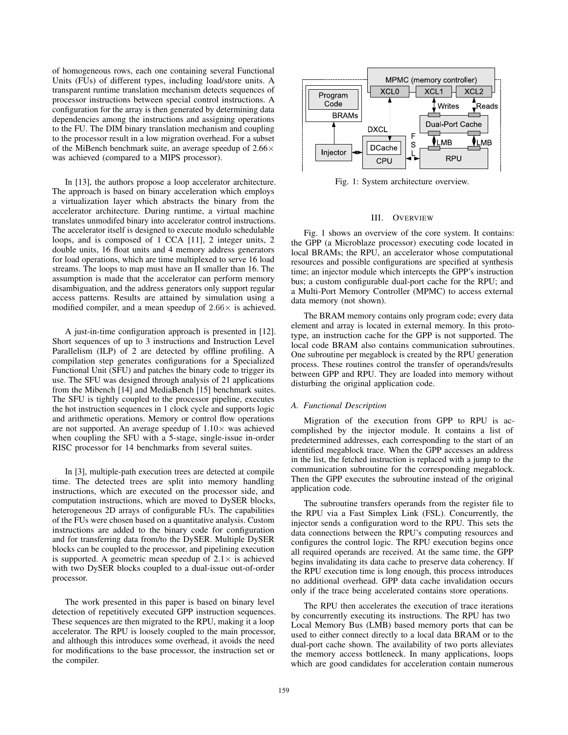of homogeneous rows, each one containing several Functional Units (FUs) of different types, including load/store units. A transparent runtime translation mechanism detects sequences of processor instructions between special control instructions. A configuration for the array is then generated by determining data dependencies among the instructions and assigning operations to the FU. The DIM binary translation mechanism and coupling to the processor result in a low migration overhead. For a subset of the MiBench benchmark suite, an average speedup of  $2.66 \times$ was achieved (compared to a MIPS processor).

In [13], the authors propose a loop accelerator architecture. The approach is based on binary acceleration which employs a virtualization layer which abstracts the binary from the accelerator architecture. During runtime, a virtual machine translates unmodifed binary into accelerator control instructions. The accelerator itself is designed to execute modulo schedulable loops, and is composed of 1 CCA [11], 2 integer units, 2 double units, 16 float units and 4 memory address generators for load operations, which are time multiplexed to serve 16 load streams. The loops to map must have an II smaller than 16. The assumption is made that the accelerator can perform memory disambiguation, and the address generators only support regular access patterns. Results are attained by simulation using a modified compiler, and a mean speedup of  $2.66\times$  is achieved.

A just-in-time configuration approach is presented in [12]. Short sequences of up to 3 instructions and Instruction Level Parallelism (ILP) of 2 are detected by offline profiling. A compilation step generates configurations for a Specialized Functional Unit (SFU) and patches the binary code to trigger its use. The SFU was designed through analysis of 21 applications from the Mibench [14] and MediaBench [15] benchmark suites. The SFU is tightly coupled to the processor pipeline, executes the hot instruction sequences in 1 clock cycle and supports logic and arithmetic operations. Memory or control flow operations are not supported. An average speedup of  $1.10\times$  was achieved when coupling the SFU with a 5-stage, single-issue in-order RISC processor for 14 benchmarks from several suites.

In [3], multiple-path execution trees are detected at compile time. The detected trees are split into memory handling instructions, which are executed on the processor side, and computation instructions, which are moved to DySER blocks, heterogeneous 2D arrays of configurable FUs. The capabilities of the FUs were chosen based on a quantitative analysis. Custom instructions are added to the binary code for configuration and for transferring data from/to the DySER. Multiple DySER blocks can be coupled to the processor, and pipelining execution is supported. A geometric mean speedup of  $2.1 \times$  is achieved with two DySER blocks coupled to a dual-issue out-of-order processor.

The work presented in this paper is based on binary level detection of repetitively executed GPP instruction sequences. These sequences are then migrated to the RPU, making it a loop accelerator. The RPU is loosely coupled to the main processor, and although this introduces some overhead, it avoids the need for modifications to the base processor, the instruction set or the compiler.



Fig. 1: System architecture overview.

## III. OVERVIEW

Fig. 1 shows an overview of the core system. It contains: the GPP (a Microblaze processor) executing code located in local BRAMs; the RPU, an accelerator whose computational resources and possible configurations are specified at synthesis time; an injector module which intercepts the GPP's instruction bus; a custom configurable dual-port cache for the RPU; and a Multi-Port Memory Controller (MPMC) to access external data memory (not shown).

The BRAM memory contains only program code; every data element and array is located in external memory. In this prototype, an instruction cache for the GPP is not supported. The local code BRAM also contains communication subroutines. One subroutine per megablock is created by the RPU generation process. These routines control the transfer of operands/results between GPP and RPU. They are loaded into memory without disturbing the original application code.

#### *A. Functional Description*

Migration of the execution from GPP to RPU is accomplished by the injector module. It contains a list of predetermined addresses, each corresponding to the start of an identified megablock trace. When the GPP accesses an address in the list, the fetched instruction is replaced with a jump to the communication subroutine for the corresponding megablock. Then the GPP executes the subroutine instead of the original application code.

The subroutine transfers operands from the register file to the RPU via a Fast Simplex Link (FSL). Concurrently, the injector sends a configuration word to the RPU. This sets the data connections between the RPU's computing resources and configures the control logic. The RPU execution begins once all required operands are received. At the same time, the GPP begins invalidating its data cache to preserve data coherency. If the RPU execution time is long enough, this process introduces no additional overhead. GPP data cache invalidation occurs only if the trace being accelerated contains store operations.

The RPU then accelerates the execution of trace iterations by concurrently executing its instructions. The RPU has two Local Memory Bus (LMB) based memory ports that can be used to either connect directly to a local data BRAM or to the dual-port cache shown. The availability of two ports alleviates the memory access bottleneck. In many applications, loops which are good candidates for acceleration contain numerous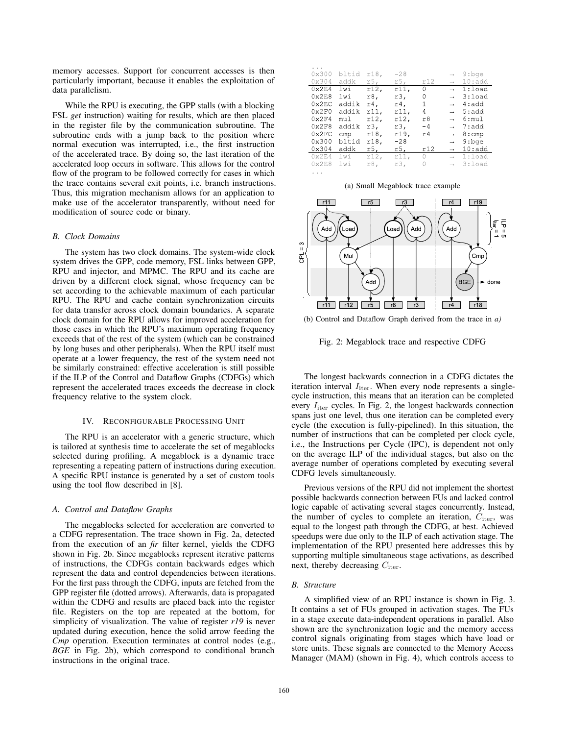memory accesses. Support for concurrent accesses is then particularly important, because it enables the exploitation of data parallelism.

While the RPU is executing, the GPP stalls (with a blocking FSL *get* instruction) waiting for results, which are then placed in the register file by the communication subroutine. The subroutine ends with a jump back to the position where normal execution was interrupted, i.e., the first instruction of the accelerated trace. By doing so, the last iteration of the accelerated loop occurs in software. This allows for the control flow of the program to be followed correctly for cases in which the trace contains several exit points, i.e. branch instructions. Thus, this migration mechanism allows for an application to make use of the accelerator transparently, without need for modification of source code or binary.

#### *B. Clock Domains*

The system has two clock domains. The system-wide clock system drives the GPP, code memory, FSL links between GPP, RPU and injector, and MPMC. The RPU and its cache are driven by a different clock signal, whose frequency can be set according to the achievable maximum of each particular RPU. The RPU and cache contain synchronization circuits for data transfer across clock domain boundaries. A separate clock domain for the RPU allows for improved acceleration for those cases in which the RPU's maximum operating frequency exceeds that of the rest of the system (which can be constrained by long buses and other peripherals). When the RPU itself must operate at a lower frequency, the rest of the system need not be similarly constrained: effective acceleration is still possible if the ILP of the Control and Dataflow Graphs (CDFGs) which represent the accelerated traces exceeds the decrease in clock frequency relative to the system clock.

#### IV. RECONFIGURABLE PROCESSING UNIT

The RPU is an accelerator with a generic structure, which is tailored at synthesis time to accelerate the set of megablocks selected during profiling. A megablock is a dynamic trace representing a repeating pattern of instructions during execution. A specific RPU instance is generated by a set of custom tools using the tool flow described in [8].

## *A. Control and Dataflow Graphs*

The megablocks selected for acceleration are converted to a CDFG representation. The trace shown in Fig. 2a, detected from the execution of an *fir* filter kernel, yields the CDFG shown in Fig. 2b. Since megablocks represent iterative patterns of instructions, the CDFGs contain backwards edges which represent the data and control dependencies between iterations. For the first pass through the CDFG, inputs are fetched from the GPP register file (dotted arrows). Afterwards, data is propagated within the CDFG and results are placed back into the register file. Registers on the top are repeated at the bottom, for simplicity of visualization. The value of register *r19* is never updated during execution, hence the solid arrow feeding the *Cmp* operation. Execution terminates at control nodes (e.g., *BGE* in Fig. 2b), which correspond to conditional branch instructions in the original trace.

| 0x300 | bltid | r18,    | $-28$  |                      |               | $\rightarrow$ 9:bge  |
|-------|-------|---------|--------|----------------------|---------------|----------------------|
| 0x304 | addk  | r5,     | r5,    | r12                  |               | $\rightarrow$ 10:add |
| 0x2E4 | lwi   | r12,    | r11,   | $\sim$ 0             |               | $\rightarrow$ 1:load |
| 0x2E8 | lwi   | r8,     | r3,    | 0                    |               | $\rightarrow$ 3:load |
| 0x2EC | addik | $r4$ ,  | r4,    | 1                    |               | $\rightarrow$ 4:add  |
| 0x2F0 | addik | $r11$ , | r11,   | 4                    |               | $\rightarrow$ 5:add  |
| 0x2F4 | mul   | r12,    | r12,   | r8                   |               | $\rightarrow$ 6:mul  |
| 0x2F8 | addik | r3,     | r3,    | $-4$                 |               | $\rightarrow$ 7:add  |
| 0x2FC | cmp   | r18,    | r19,   | r4                   | $\rightarrow$ | $8:$ cmp             |
| 0x300 | bltid | $r18$ , | $-28$  |                      |               | $\rightarrow$ 9:bge  |
| 0x304 | addk  | r5,     | r5,    | r12                  |               | $\rightarrow$ 10:add |
| 0x2E4 | lwi   | r12,    | r11, 0 |                      |               | $\rightarrow$ 1:load |
| 0x2E8 | lwi   | r8,     | r3,    | $\qquad \qquad \, 0$ |               | $\rightarrow 3:load$ |
|       |       |         |        |                      |               |                      |





(b) Control and Dataflow Graph derived from the trace in *a)*

Fig. 2: Megablock trace and respective CDFG

The longest backwards connection in a CDFG dictates the iteration interval  $I_{\text{iter}}$ . When every node represents a singlecycle instruction, this means that an iteration can be completed every  $I_{\text{iter}}$  cycles. In Fig. 2, the longest backwards connection spans just one level, thus one iteration can be completed every cycle (the execution is fully-pipelined). In this situation, the number of instructions that can be completed per clock cycle, i.e., the Instructions per Cycle (IPC), is dependent not only on the average ILP of the individual stages, but also on the average number of operations completed by executing several CDFG levels simultaneously.

Previous versions of the RPU did not implement the shortest possible backwards connection between FUs and lacked control logic capable of activating several stages concurrently. Instead, the number of cycles to complete an iteration,  $C_{\text{iter}}$ , was equal to the longest path through the CDFG, at best. Achieved speedups were due only to the ILP of each activation stage. The implementation of the RPU presented here addresses this by supporting multiple simultaneous stage activations, as described next, thereby decreasing  $C_{\text{iter}}$ .

#### *B. Structure*

A simplified view of an RPU instance is shown in Fig. 3. It contains a set of FUs grouped in activation stages. The FUs in a stage execute data-independent operations in parallel. Also shown are the synchronization logic and the memory access control signals originating from stages which have load or store units. These signals are connected to the Memory Access Manager (MAM) (shown in Fig. 4), which controls access to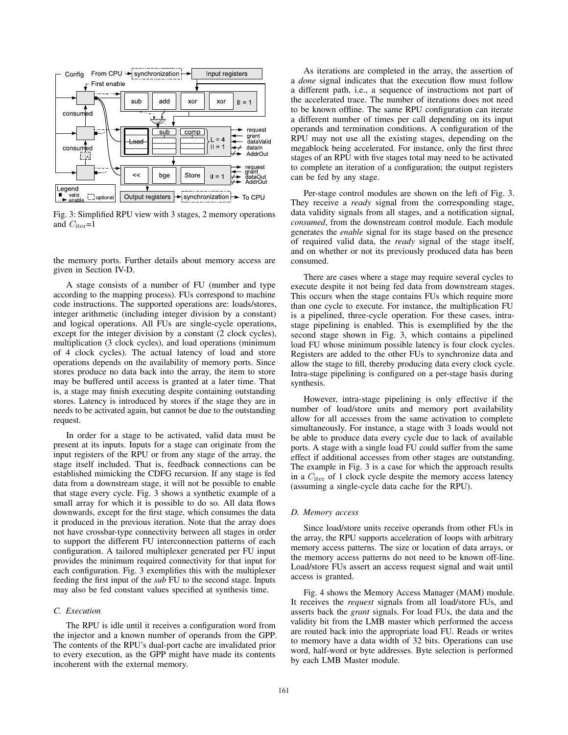

Fig. 3: Simplified RPU view with 3 stages, 2 memory operations and  $C_{\text{iter}}=1$ 

the memory ports. Further details about memory access are given in Section IV-D.

A stage consists of a number of FU (number and type according to the mapping process). FUs correspond to machine code instructions. The supported operations are: loads/stores, integer arithmetic (including integer division by a constant) and logical operations. All FUs are single-cycle operations, except for the integer division by a constant (2 clock cycles), multiplication (3 clock cycles), and load operations (minimum of 4 clock cycles). The actual latency of load and store operations depends on the availability of memory ports. Since stores produce no data back into the array, the item to store may be buffered until access is granted at a later time. That is, a stage may finish executing despite containing outstanding stores. Latency is introduced by stores if the stage they are in needs to be activated again, but cannot be due to the outstanding request.

In order for a stage to be activated, valid data must be present at its inputs. Inputs for a stage can originate from the input registers of the RPU or from any stage of the array, the stage itself included. That is, feedback connections can be established mimicking the CDFG recursion. If any stage is fed data from a downstream stage, it will not be possible to enable that stage every cycle. Fig. 3 shows a synthetic example of a small array for which it is possible to do so. All data flows downwards, except for the first stage, which consumes the data it produced in the previous iteration. Note that the array does not have crossbar-type connectivity between all stages in order to support the different FU interconnection patterns of each configuration. A tailored multiplexer generated per FU input provides the minimum required connectivity for that input for each configuration. Fig. 3 exemplifies this with the multiplexer feeding the first input of the *sub* FU to the second stage. Inputs may also be fed constant values specified at synthesis time.

# *C. Execution*

The RPU is idle until it receives a configuration word from the injector and a known number of operands from the GPP. The contents of the RPU's dual-port cache are invalidated prior to every execution, as the GPP might have made its contents incoherent with the external memory.

As iterations are completed in the array, the assertion of a *done* signal indicates that the execution flow must follow a different path, i.e., a sequence of instructions not part of the accelerated trace. The number of iterations does not need to be known offline. The same RPU configuration can iterate a different number of times per call depending on its input operands and termination conditions. A configuration of the RPU may not use all the existing stages, depending on the megablock being accelerated. For instance, only the first three stages of an RPU with five stages total may need to be activated to complete an iteration of a configuration; the output registers can be fed by any stage.

Per-stage control modules are shown on the left of Fig. 3. They receive a *ready* signal from the corresponding stage, data validity signals from all stages, and a notification signal, *consumed*, from the downstream control module. Each module generates the *enable* signal for its stage based on the presence of required valid data, the *ready* signal of the stage itself, and on whether or not its previously produced data has been consumed.

There are cases where a stage may require several cycles to execute despite it not being fed data from downstream stages. This occurs when the stage contains FUs which require more than one cycle to execute. For instance, the multiplication FU is a pipelined, three-cycle operation. For these cases, intrastage pipelining is enabled. This is exemplified by the the second stage shown in Fig. 3, which contains a pipelined load FU whose minimum possible latency is four clock cycles. Registers are added to the other FUs to synchronize data and allow the stage to fill, thereby producing data every clock cycle. Intra-stage pipelining is configured on a per-stage basis during synthesis.

However, intra-stage pipelining is only effective if the number of load/store units and memory port availability allow for all accesses from the same activation to complete simultaneously. For instance, a stage with 3 loads would not be able to produce data every cycle due to lack of available ports. A stage with a single load FU could suffer from the same effect if additional accesses from other stages are outstanding. The example in Fig. 3 is a case for which the approach results in a  $C_{\text{iter}}$  of 1 clock cycle despite the memory access latency (assuming a single-cycle data cache for the RPU).

#### *D. Memory access*

Since load/store units receive operands from other FUs in the array, the RPU supports acceleration of loops with arbitrary memory access patterns. The size or location of data arrays, or the memory access patterns do not need to be known off-line. Load/store FUs assert an access request signal and wait until access is granted.

Fig. 4 shows the Memory Access Manager (MAM) module. It receives the *request* signals from all load/store FUs, and asserts back the *grant* signals. For load FUs, the data and the validity bit from the LMB master which performed the access are routed back into the appropriate load FU. Reads or writes to memory have a data width of 32 bits. Operations can use word, half-word or byte addresses. Byte selection is performed by each LMB Master module.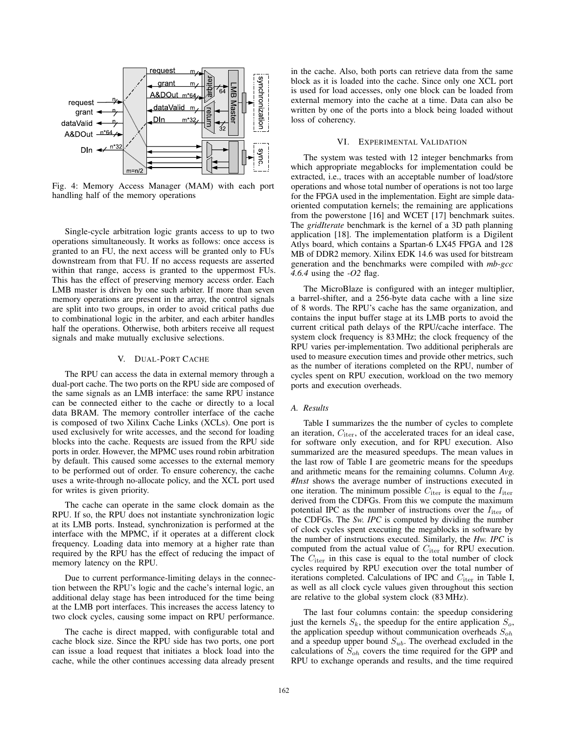

Fig. 4: Memory Access Manager (MAM) with each port handling half of the memory operations

Single-cycle arbitration logic grants access to up to two operations simultaneously. It works as follows: once access is granted to an FU, the next access will be granted only to FUs downstream from that FU. If no access requests are asserted within that range, access is granted to the uppermost FUs. This has the effect of preserving memory access order. Each LMB master is driven by one such arbiter. If more than seven memory operations are present in the array, the control signals are split into two groups, in order to avoid critical paths due to combinational logic in the arbiter, and each arbiter handles half the operations. Otherwise, both arbiters receive all request signals and make mutually exclusive selections.

#### V. DUAL-PORT CACHE

The RPU can access the data in external memory through a dual-port cache. The two ports on the RPU side are composed of the same signals as an LMB interface: the same RPU instance can be connected either to the cache or directly to a local data BRAM. The memory controller interface of the cache is composed of two Xilinx Cache Links (XCLs). One port is used exclusively for write accesses, and the second for loading blocks into the cache. Requests are issued from the RPU side ports in order. However, the MPMC uses round robin arbitration by default. This caused some accesses to the external memory to be performed out of order. To ensure coherency, the cache uses a write-through no-allocate policy, and the XCL port used for writes is given priority.

The cache can operate in the same clock domain as the RPU. If so, the RPU does not instantiate synchronization logic at its LMB ports. Instead, synchronization is performed at the interface with the MPMC, if it operates at a different clock frequency. Loading data into memory at a higher rate than required by the RPU has the effect of reducing the impact of memory latency on the RPU.

Due to current performance-limiting delays in the connection between the RPU's logic and the cache's internal logic, an additional delay stage has been introduced for the time being at the LMB port interfaces. This increases the access latency to two clock cycles, causing some impact on RPU performance.

The cache is direct mapped, with configurable total and cache block size. Since the RPU side has two ports, one port can issue a load request that initiates a block load into the cache, while the other continues accessing data already present in the cache. Also, both ports can retrieve data from the same block as it is loaded into the cache. Since only one XCL port is used for load accesses, only one block can be loaded from external memory into the cache at a time. Data can also be written by one of the ports into a block being loaded without loss of coherency.

# VI. EXPERIMENTAL VALIDATION

The system was tested with 12 integer benchmarks from which appropriate megablocks for implementation could be extracted, i.e., traces with an acceptable number of load/store operations and whose total number of operations is not too large for the FPGA used in the implementation. Eight are simple dataoriented computation kernels; the remaining are applications from the powerstone [16] and WCET [17] benchmark suites. The *gridIterate* benchmark is the kernel of a 3D path planning application [18]. The implementation platform is a Digilent Atlys board, which contains a Spartan-6 LX45 FPGA and 128 MB of DDR2 memory. Xilinx EDK 14.6 was used for bitstream generation and the benchmarks were compiled with *mb-gcc 4.6.4* using the *-O2* flag.

The MicroBlaze is configured with an integer multiplier, a barrel-shifter, and a 256-byte data cache with a line size of 8 words. The RPU's cache has the same organization, and contains the input buffer stage at its LMB ports to avoid the current critical path delays of the RPU/cache interface. The system clock frequency is 83 MHz; the clock frequency of the RPU varies per-implementation. Two additional peripherals are used to measure execution times and provide other metrics, such as the number of iterations completed on the RPU, number of cycles spent on RPU execution, workload on the two memory ports and execution overheads.

## *A. Results*

Table I summarizes the the number of cycles to complete an iteration,  $C_{\text{iter}}$ , of the accelerated traces for an ideal case, for software only execution, and for RPU execution. Also summarized are the measured speedups. The mean values in the last row of Table I are geometric means for the speedups and arithmetic means for the remaining columns. Column *Avg. #Inst* shows the average number of instructions executed in one iteration. The minimum possible  $C_{\text{iter}}$  is equal to the  $I_{\text{iter}}$ derived from the CDFGs. From this we compute the maximum potential IPC as the number of instructions over the  $I_{\text{iter}}$  of the CDFGs. The *Sw. IPC* is computed by dividing the number of clock cycles spent executing the megablocks in software by the number of instructions executed. Similarly, the *Hw. IPC* is computed from the actual value of  $C_{\text{iter}}$  for RPU execution. The  $C_{\text{iter}}$  in this case is equal to the total number of clock cycles required by RPU execution over the total number of iterations completed. Calculations of IPC and  $C_{\text{iter}}$  in Table I, as well as all clock cycle values given throughout this section are relative to the global system clock (83 MHz).

The last four columns contain: the speedup considering just the kernels  $S_k$ , the speedup for the entire application  $S_o$ , the application speedup without communication overheads  $S_{oh}$ and a speedup upper bound  $S_{ub}$ . The overhead excluded in the calculations of  $S_{oh}$  covers the time required for the GPP and RPU to exchange operands and results, and the time required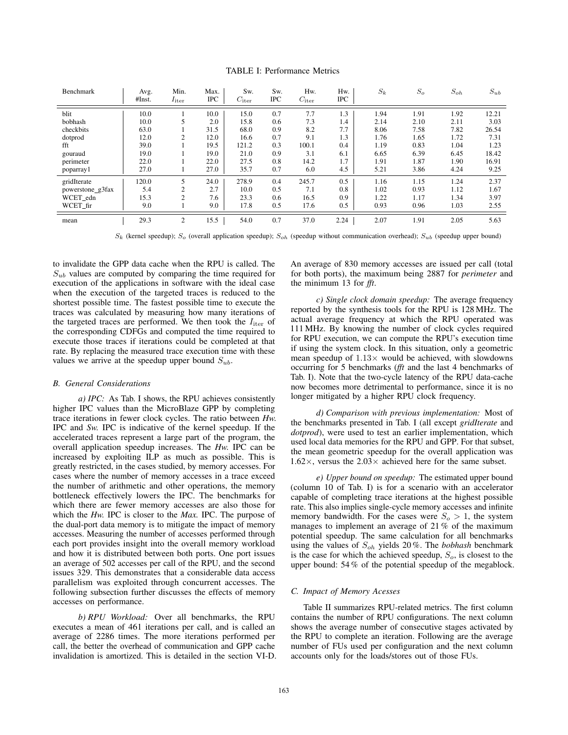### TABLE I: Performance Metrics

| Benchmark        | Avg.<br>#Inst. | Min.<br>$I_{\rm iter}$ | Max.<br>IPC | Sw.<br>$C_{\text{iter}}$ | Sw.<br><b>IPC</b> | Hw.<br>$C_{\text{iter}}$ | Hw.<br><b>IPC</b> | $S_k$ | $S_{\alpha}$ | $S_{oh}$ | $S_{ub}$ |
|------------------|----------------|------------------------|-------------|--------------------------|-------------------|--------------------------|-------------------|-------|--------------|----------|----------|
| blit             | 10.0           |                        | 10.0        | 15.0                     | 0.7               | 7.7                      | 1.3               | 1.94  | 1.91         | 1.92     | 12.21    |
| bobhash          | 10.0           |                        | 2.0         | 15.8                     | 0.6               | 7.3                      | 1.4               | 2.14  | 2.10         | 2.11     | 3.03     |
| checkbits        | 63.0           |                        | 31.5        | 68.0                     | 0.9               | 8.2                      | 7.7               | 8.06  | 7.58         | 7.82     | 26.54    |
| dotprod          | 12.0           | 2                      | 12.0        | 16.6                     | 0.7               | 9.1                      | 1.3               | 1.76  | 1.65         | 1.72     | 7.31     |
| fft              | 39.0           |                        | 19.5        | 121.2                    | 0.3               | 100.1                    | 0.4               | 1.19  | 0.83         | 1.04     | 1.23     |
| gouraud          | 19.0           |                        | 19.0        | 21.0                     | 0.9               | 3.1                      | 6.1               | 6.65  | 6.39         | 6.45     | 18.42    |
| perimeter        | 22.0           |                        | 22.0        | 27.5                     | 0.8               | 14.2                     | 1.7               | 1.91  | 1.87         | 1.90     | 16.91    |
| poparray1        | 27.0           |                        | 27.0        | 35.7                     | 0.7               | 6.0                      | 4.5               | 5.21  | 3.86         | 4.24     | 9.25     |
| gridIterate      | 120.0          | 5                      | 24.0        | 278.9                    | 0.4               | 245.7                    | 0.5               | 1.16  | 1.15         | 1.24     | 2.37     |
| powerstone_g3fax | 5.4            | $\overline{2}$         | 2.7         | 10.0                     | 0.5               | 7.1                      | 0.8               | 1.02  | 0.93         | 1.12     | 1.67     |
| WCET edn         | 15.3           | ◠                      | 7.6         | 23.3                     | 0.6               | 16.5                     | 0.9               | 1.22  | 1.17         | 1.34     | 3.97     |
| WCET fir         | 9.0            |                        | 9.0         | 17.8                     | 0.5               | 17.6                     | 0.5               | 0.93  | 0.96         | 1.03     | 2.55     |
| mean             | 29.3           | 2                      | 15.5        | 54.0                     | 0.7               | 37.0                     | 2.24              | 2.07  | 1.91         | 2.05     | 5.63     |

 $S_k$  (kernel speedup);  $S_o$  (overall application speedup);  $S_{oh}$  (speedup without communication overhead);  $S_{uh}$  (speedup upper bound)

to invalidate the GPP data cache when the RPU is called. The  $S_{ub}$  values are computed by comparing the time required for execution of the applications in software with the ideal case when the execution of the targeted traces is reduced to the shortest possible time. The fastest possible time to execute the traces was calculated by measuring how many iterations of the targeted traces are performed. We then took the  $I_{\text{iter}}$  of the corresponding CDFGs and computed the time required to execute those traces if iterations could be completed at that rate. By replacing the measured trace execution time with these values we arrive at the speedup upper bound  $S_{ub}$ .

# *B. General Considerations*

*a) IPC:* As Tab. I shows, the RPU achieves consistently higher IPC values than the MicroBlaze GPP by completing trace iterations in fewer clock cycles. The ratio between *Hw.* IPC and *Sw.* IPC is indicative of the kernel speedup. If the accelerated traces represent a large part of the program, the overall application speedup increases. The *Hw.* IPC can be increased by exploiting ILP as much as possible. This is greatly restricted, in the cases studied, by memory accesses. For cases where the number of memory accesses in a trace exceed the number of arithmetic and other operations, the memory bottleneck effectively lowers the IPC. The benchmarks for which there are fewer memory accesses are also those for which the *Hw.* IPC is closer to the *Max.* IPC. The purpose of the dual-port data memory is to mitigate the impact of memory accesses. Measuring the number of accesses performed through each port provides insight into the overall memory workload and how it is distributed between both ports. One port issues an average of 502 accesses per call of the RPU, and the second issues 329. This demonstrates that a considerable data access parallelism was exploited through concurrent accesses. The following subsection further discusses the effects of memory accesses on performance.

*b) RPU Workload:* Over all benchmarks, the RPU executes a mean of 461 iterations per call, and is called an average of 2286 times. The more iterations performed per call, the better the overhead of communication and GPP cache invalidation is amortized. This is detailed in the section VI-D.

An average of 830 memory accesses are issued per call (total for both ports), the maximum being 2887 for *perimeter* and the minimum 13 for *fft*.

*c) Single clock domain speedup:* The average frequency reported by the synthesis tools for the RPU is 128 MHz. The actual average frequency at which the RPU operated was 111 MHz. By knowing the number of clock cycles required for RPU execution, we can compute the RPU's execution time if using the system clock. In this situation, only a geometric mean speedup of  $1.13\times$  would be achieved, with slowdowns occurring for 5 benchmarks (*fft* and the last 4 benchmarks of Tab. I). Note that the two-cycle latency of the RPU data-cache now becomes more detrimental to performance, since it is no longer mitigated by a higher RPU clock frequency.

*d) Comparison with previous implementation:* Most of the benchmarks presented in Tab. I (all except *gridIterate* and *dotprod*), were used to test an earlier implementation, which used local data memories for the RPU and GPP. For that subset, the mean geometric speedup for the overall application was 1.62 $\times$ , versus the 2.03 $\times$  achieved here for the same subset.

*e) Upper bound on speedup:* The estimated upper bound (column 10 of Tab. I) is for a scenario with an accelerator capable of completing trace iterations at the highest possible rate. This also implies single-cycle memory accesses and infinite memory bandwidth. For the cases were  $S_0 > 1$ , the system manages to implement an average of 21 % of the maximum potential speedup. The same calculation for all benchmarks using the values of Soh yields 20 %. The *bobhash* benchmark is the case for which the achieved speedup,  $S<sub>o</sub>$ , is closest to the upper bound: 54 % of the potential speedup of the megablock.

## *C. Impact of Memory Acesses*

Table II summarizes RPU-related metrics. The first column contains the number of RPU configurations. The next column shows the average number of consecutive stages activated by the RPU to complete an iteration. Following are the average number of FUs used per configuration and the next column accounts only for the loads/stores out of those FUs.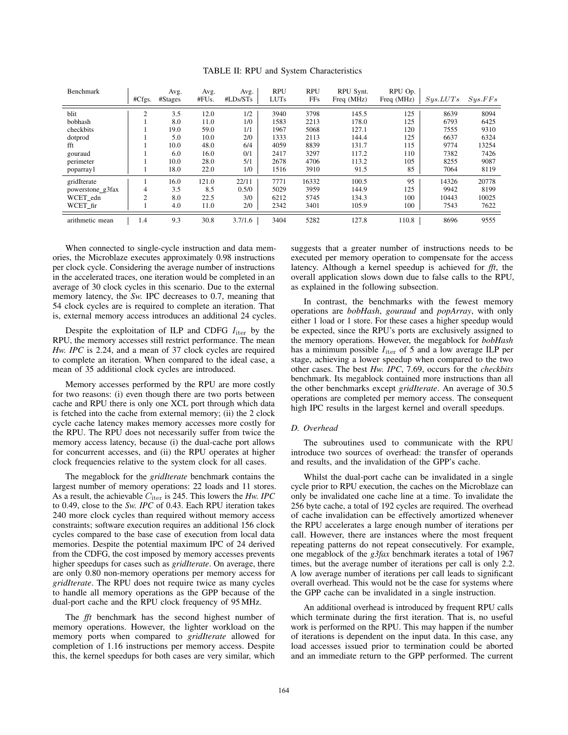# TABLE II: RPU and System Characteristics

| Benchmark        | #Cfgs.         | Avg.<br>#Stages | Avg.<br>#FUs. | Avg.<br>#LDS/STs | <b>RPU</b><br><b>LUTs</b> | RPU<br><b>FFs</b> | RPU Synt.<br>Freq (MHz) | RPU Op.<br>Freq (MHz) | Sys. LUTs | Sys.FFs |
|------------------|----------------|-----------------|---------------|------------------|---------------------------|-------------------|-------------------------|-----------------------|-----------|---------|
| blit             | 2              | 3.5             | 12.0          | 1/2              | 3940                      | 3798              | 145.5                   | 125                   | 8639      | 8094    |
| bobhash          |                | 8.0             | 11.0          | 1/0              | 1583                      | 2213              | 178.0                   | 125                   | 6793      | 6425    |
| checkbits        |                | 19.0            | 59.0          | 1/1              | 1967                      | 5068              | 127.1                   | 120                   | 7555      | 9310    |
| dotprod          |                | 5.0             | 10.0          | 2/0              | 1333                      | 2113              | 144.4                   | 125                   | 6637      | 6324    |
| fft              |                | 10.0            | 48.0          | 6/4              | 4059                      | 8839              | 131.7                   | 115                   | 9774      | 13254   |
| gouraud          |                | 6.0             | 16.0          | 0/1              | 2417                      | 3297              | 117.2                   | 110                   | 7382      | 7426    |
| perimeter        |                | 10.0            | 28.0          | 5/1              | 2678                      | 4706              | 113.2                   | 105                   | 8255      | 9087    |
| poparray1        |                | 18.0            | 22.0          | 1/0              | 1516                      | 3910              | 91.5                    | 85                    | 7064      | 8119    |
| gridIterate      |                | 16.0            | 121.0         | 22/11            | 7771                      | 16332             | 100.5                   | 95                    | 14326     | 20778   |
| powerstone_g3fax | 4              | 3.5             | 8.5           | 0.5/0            | 5029                      | 3959              | 144.9                   | 125                   | 9942      | 8199    |
| WCET edn         | $\overline{c}$ | 8.0             | 22.5          | 3/0              | 6212                      | 5745              | 134.3                   | 100                   | 10443     | 10025   |
| WCET fir         |                | 4.0             | 11.0          | 2/0              | 2342                      | 3401              | 105.9                   | 100                   | 7543      | 7622    |
| arithmetic mean  | 1.4            | 9.3             | 30.8          | 3.7/1.6          | 3404                      | 5282              | 127.8                   | 110.8                 | 8696      | 9555    |

When connected to single-cycle instruction and data memories, the Microblaze executes approximately 0.98 instructions per clock cycle. Considering the average number of instructions in the accelerated traces, one iteration would be completed in an average of 30 clock cycles in this scenario. Due to the external memory latency, the *Sw.* IPC decreases to 0.7, meaning that 54 clock cycles are is required to complete an iteration. That is, external memory access introduces an additional 24 cycles.

Despite the exploitation of ILP and CDFG  $I_{\text{iter}}$  by the RPU, the memory accesses still restrict performance. The mean *Hw. IPC* is 2.24, and a mean of 37 clock cycles are required to complete an iteration. When compared to the ideal case, a mean of 35 additional clock cycles are introduced.

Memory accesses performed by the RPU are more costly for two reasons: (i) even though there are two ports between cache and RPU there is only one XCL port through which data is fetched into the cache from external memory; (ii) the 2 clock cycle cache latency makes memory accesses more costly for the RPU. The RPU does not necessarily suffer from twice the memory access latency, because (i) the dual-cache port allows for concurrent accesses, and (ii) the RPU operates at higher clock frequencies relative to the system clock for all cases.

The megablock for the *gridIterate* benchmark contains the largest number of memory operations: 22 loads and 11 stores. As a result, the achievable  $C_{\text{iter}}$  is 245. This lowers the *Hw. IPC* to 0.49, close to the *Sw. IPC* of 0.43. Each RPU iteration takes 240 more clock cycles than required without memory access constraints; software execution requires an additional 156 clock cycles compared to the base case of execution from local data memories. Despite the potential maximum IPC of 24 derived from the CDFG, the cost imposed by memory accesses prevents higher speedups for cases such as *gridIterate*. On average, there are only 0.80 non-memory operations per memory access for *gridIterate*. The RPU does not require twice as many cycles to handle all memory operations as the GPP because of the dual-port cache and the RPU clock frequency of 95 MHz.

The *fft* benchmark has the second highest number of memory operations. However, the lighter workload on the memory ports when compared to *gridIterate* allowed for completion of 1.16 instructions per memory access. Despite this, the kernel speedups for both cases are very similar, which

suggests that a greater number of instructions needs to be executed per memory operation to compensate for the access latency. Although a kernel speedup is achieved for *fft*, the overall application slows down due to false calls to the RPU, as explained in the following subsection.

In contrast, the benchmarks with the fewest memory operations are *bobHash*, *gouraud* and *popArray*, with only either 1 load or 1 store. For these cases a higher speedup would be expected, since the RPU's ports are exclusively assigned to the memory operations. However, the megablock for *bobHash* has a minimum possible  $I_{\text{iter}}$  of 5 and a low average ILP per stage, achieving a lower speedup when compared to the two other cases. The best *Hw. IPC*, 7.69, occurs for the *checkbits* benchmark. Its megablock contained more instructions than all the other benchmarks except *gridIterate*. An average of 30.5 operations are completed per memory access. The consequent high IPC results in the largest kernel and overall speedups.

#### *D. Overhead*

The subroutines used to communicate with the RPU introduce two sources of overhead: the transfer of operands and results, and the invalidation of the GPP's cache.

Whilst the dual-port cache can be invalidated in a single cycle prior to RPU execution, the caches on the Microblaze can only be invalidated one cache line at a time. To invalidate the 256 byte cache, a total of 192 cycles are required. The overhead of cache invalidation can be effectively amortized whenever the RPU accelerates a large enough number of iterations per call. However, there are instances where the most frequent repeating patterns do not repeat consecutively. For example, one megablock of the *g3fax* benchmark iterates a total of 1967 times, but the average number of iterations per call is only 2.2. A low average number of iterations per call leads to significant overall overhead. This would not be the case for systems where the GPP cache can be invalidated in a single instruction.

An additional overhead is introduced by frequent RPU calls which terminate during the first iteration. That is, no useful work is performed on the RPU. This may happen if the number of iterations is dependent on the input data. In this case, any load accesses issued prior to termination could be aborted and an immediate return to the GPP performed. The current